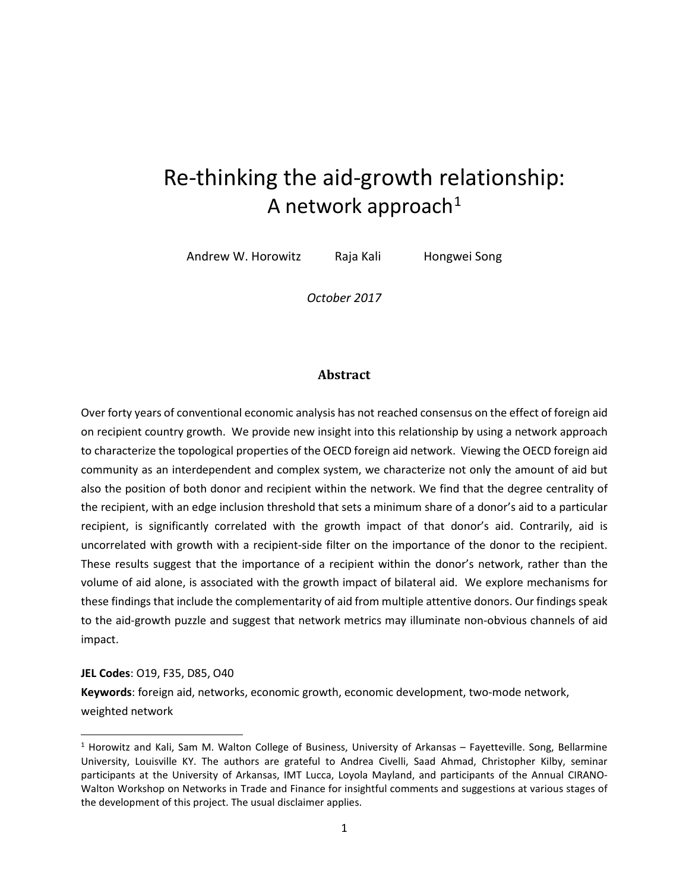# Re-thinking the aid-growth relationship: A network approach<sup>[1](#page-0-0)</sup>

Andrew W. Horowitz Raja Kali Hongwei Song

*October 2017*

## **Abstract**

Over forty years of conventional economic analysis has not reached consensus on the effect of foreign aid on recipient country growth. We provide new insight into this relationship by using a network approach to characterize the topological properties of the OECD foreign aid network. Viewing the OECD foreign aid community as an interdependent and complex system, we characterize not only the amount of aid but also the position of both donor and recipient within the network. We find that the degree centrality of the recipient, with an edge inclusion threshold that sets a minimum share of a donor's aid to a particular recipient, is significantly correlated with the growth impact of that donor's aid. Contrarily, aid is uncorrelated with growth with a recipient-side filter on the importance of the donor to the recipient. These results suggest that the importance of a recipient within the donor's network, rather than the volume of aid alone, is associated with the growth impact of bilateral aid. We explore mechanisms for these findings that include the complementarity of aid from multiple attentive donors. Our findings speak to the aid-growth puzzle and suggest that network metrics may illuminate non-obvious channels of aid impact.

### **JEL Codes**: O19, F35, D85, O40

 $\overline{a}$ 

**Keywords**: foreign aid, networks, economic growth, economic development, two-mode network, weighted network

<span id="page-0-0"></span> $1$  Horowitz and Kali, Sam M. Walton College of Business, University of Arkansas – Fayetteville. Song, Bellarmine University, Louisville KY. The authors are grateful to Andrea Civelli, Saad Ahmad, Christopher Kilby, seminar participants at the University of Arkansas, IMT Lucca, Loyola Mayland, and participants of the Annual CIRANO-Walton Workshop on Networks in Trade and Finance for insightful comments and suggestions at various stages of the development of this project. The usual disclaimer applies.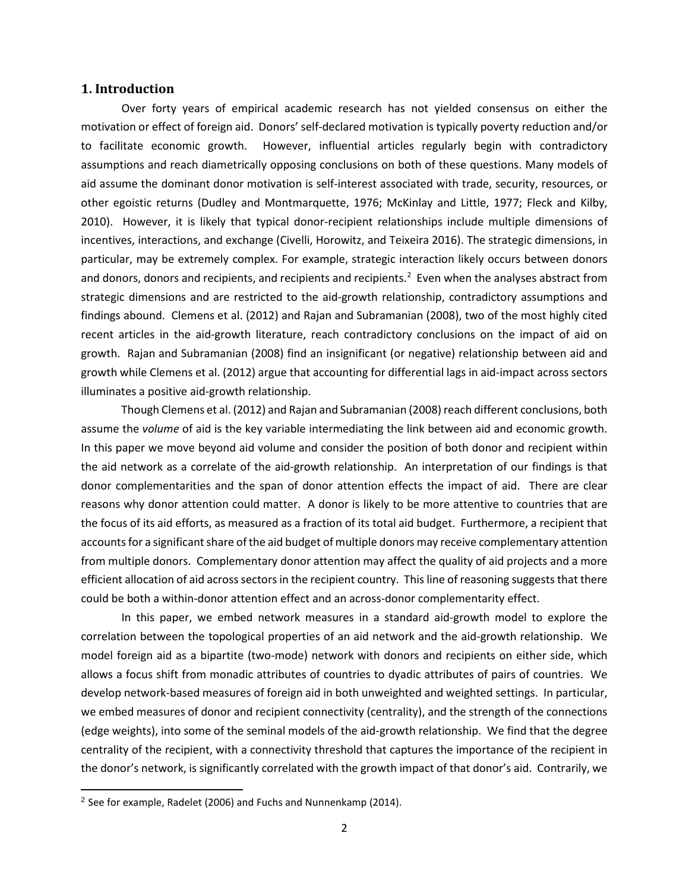#### **1. Introduction**

Over forty years of empirical academic research has not yielded consensus on either the motivation or effect of foreign aid. Donors' self-declared motivation is typically poverty reduction and/or to facilitate economic growth. However, influential articles regularly begin with contradictory assumptions and reach diametrically opposing conclusions on both of these questions. Many models of aid assume the dominant donor motivation is self-interest associated with trade, security, resources, or other egoistic returns (Dudley and Montmarquette, 1976; McKinlay and Little, 1977; Fleck and Kilby, 2010). However, it is likely that typical donor-recipient relationships include multiple dimensions of incentives, interactions, and exchange (Civelli, Horowitz, and Teixeira 2016). The strategic dimensions, in particular, may be extremely complex. For example, strategic interaction likely occurs between donors and donors, donors and recipients, and recipients and recipients.<sup>[2](#page-1-0)</sup> Even when the analyses abstract from strategic dimensions and are restricted to the aid-growth relationship, contradictory assumptions and findings abound. Clemens et al. (2012) and Rajan and Subramanian (2008), two of the most highly cited recent articles in the aid-growth literature, reach contradictory conclusions on the impact of aid on growth. Rajan and Subramanian (2008) find an insignificant (or negative) relationship between aid and growth while Clemens et al. (2012) argue that accounting for differential lags in aid-impact across sectors illuminates a positive aid-growth relationship.

Though Clemens et al. (2012) and Rajan and Subramanian (2008) reach different conclusions, both assume the *volume* of aid is the key variable intermediating the link between aid and economic growth. In this paper we move beyond aid volume and consider the position of both donor and recipient within the aid network as a correlate of the aid-growth relationship. An interpretation of our findings is that donor complementarities and the span of donor attention effects the impact of aid. There are clear reasons why donor attention could matter. A donor is likely to be more attentive to countries that are the focus of its aid efforts, as measured as a fraction of its total aid budget. Furthermore, a recipient that accounts for a significant share of the aid budget of multiple donors may receive complementary attention from multiple donors. Complementary donor attention may affect the quality of aid projects and a more efficient allocation of aid across sectors in the recipient country. This line of reasoning suggests that there could be both a within-donor attention effect and an across-donor complementarity effect.

In this paper, we embed network measures in a standard aid-growth model to explore the correlation between the topological properties of an aid network and the aid-growth relationship. We model foreign aid as a bipartite (two-mode) network with donors and recipients on either side, which allows a focus shift from monadic attributes of countries to dyadic attributes of pairs of countries. We develop network-based measures of foreign aid in both unweighted and weighted settings. In particular, we embed measures of donor and recipient connectivity (centrality), and the strength of the connections (edge weights), into some of the seminal models of the aid-growth relationship. We find that the degree centrality of the recipient, with a connectivity threshold that captures the importance of the recipient in the donor's network, is significantly correlated with the growth impact of that donor's aid. Contrarily, we

<span id="page-1-0"></span> <sup>2</sup> See for example, Radelet (2006) and Fuchs and Nunnenkamp (2014).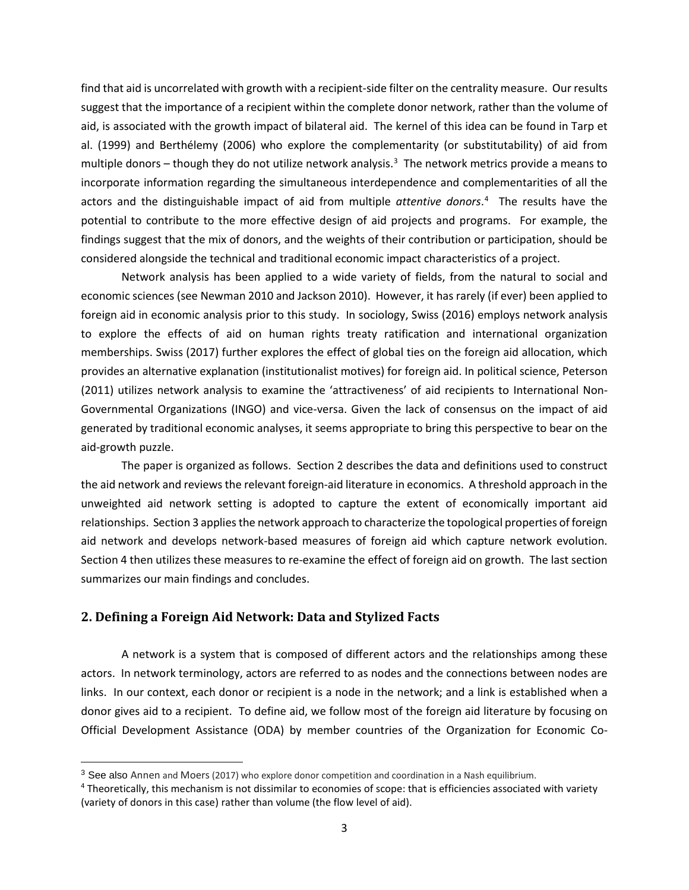find that aid is uncorrelated with growth with a recipient-side filter on the centrality measure. Our results suggest that the importance of a recipient within the complete donor network, rather than the volume of aid, is associated with the growth impact of bilateral aid. The kernel of this idea can be found in Tarp et al. (1999) and Berthélemy (2006) who explore the complementarity (or substitutability) of aid from multiple donors – though they do not utilize network analysis. [3](#page-2-0) The network metrics provide a means to incorporate information regarding the simultaneous interdependence and complementarities of all the actors and the distinguishable impact of aid from multiple *attentive donors*. [4](#page-2-1) The results have the potential to contribute to the more effective design of aid projects and programs. For example, the findings suggest that the mix of donors, and the weights of their contribution or participation, should be considered alongside the technical and traditional economic impact characteristics of a project.

Network analysis has been applied to a wide variety of fields, from the natural to social and economic sciences (see Newman 2010 and Jackson 2010). However, it has rarely (if ever) been applied to foreign aid in economic analysis prior to this study. In sociology, Swiss (2016) employs network analysis to explore the effects of aid on human rights treaty ratification and international organization memberships. Swiss (2017) further explores the effect of global ties on the foreign aid allocation, which provides an alternative explanation (institutionalist motives) for foreign aid. In political science, Peterson (2011) utilizes network analysis to examine the 'attractiveness' of aid recipients to International Non-Governmental Organizations (INGO) and vice-versa. Given the lack of consensus on the impact of aid generated by traditional economic analyses, it seems appropriate to bring this perspective to bear on the aid-growth puzzle.

The paper is organized as follows. Section 2 describes the data and definitions used to construct the aid network and reviews the relevant foreign-aid literature in economics. A threshold approach in the unweighted aid network setting is adopted to capture the extent of economically important aid relationships. Section 3 applies the network approach to characterize the topological properties of foreign aid network and develops network-based measures of foreign aid which capture network evolution. Section 4 then utilizes these measures to re-examine the effect of foreign aid on growth. The last section summarizes our main findings and concludes.

## **2. Defining a Foreign Aid Network: Data and Stylized Facts**

A network is a system that is composed of different actors and the relationships among these actors. In network terminology, actors are referred to as nodes and the connections between nodes are links. In our context, each donor or recipient is a node in the network; and a link is established when a donor gives aid to a recipient. To define aid, we follow most of the foreign aid literature by focusing on Official Development Assistance (ODA) by member countries of the Organization for Economic Co-

<span id="page-2-1"></span><span id="page-2-0"></span><sup>&</sup>lt;sup>3</sup> See also Annen and Moers (2017) who explore donor competition and coordination in a Nash equilibrium.<br><sup>4</sup> Theoretically, this mechanism is not dissimilar to economies of scope: that is efficiencies associated with var (variety of donors in this case) rather than volume (the flow level of aid).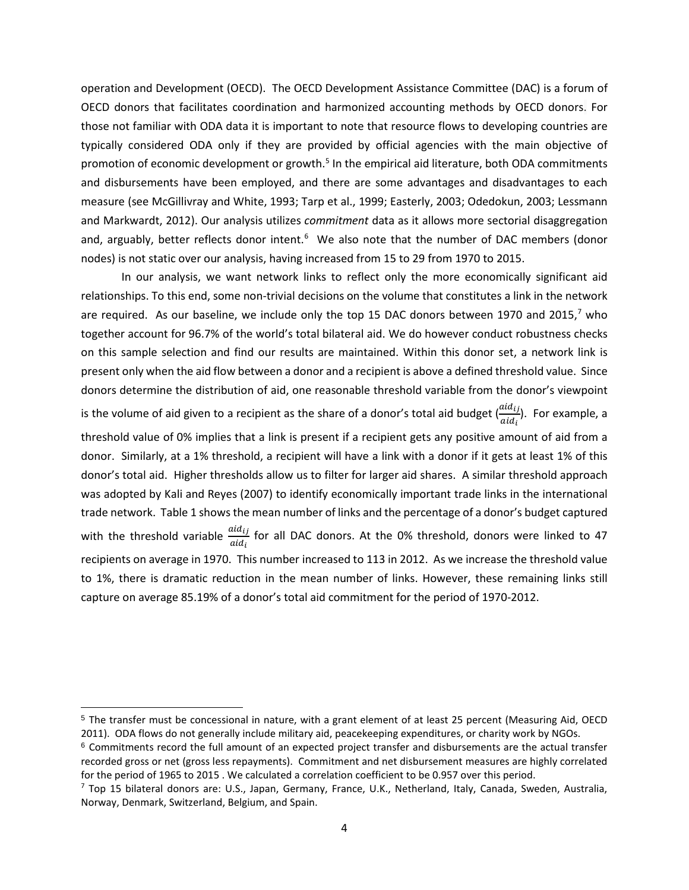operation and Development (OECD). The OECD Development Assistance Committee (DAC) is a forum of OECD donors that facilitates coordination and harmonized accounting methods by OECD donors. For those not familiar with ODA data it is important to note that resource flows to developing countries are typically considered ODA only if they are provided by official agencies with the main objective of promotion of economic development or growth.<sup>5</sup> In the empirical aid literature, both ODA commitments and disbursements have been employed, and there are some advantages and disadvantages to each measure (see McGillivray and White, 1993; Tarp et al., 1999; Easterly, 2003; Odedokun, 2003; Lessmann and Markwardt, 2012). Our analysis utilizes *commitment* data as it allows more sectorial disaggregation and, arguably, better reflects donor intent.<sup>[6](#page-3-1)</sup> We also note that the number of DAC members (donor nodes) is not static over our analysis, having increased from 15 to 29 from 1970 to 2015.

In our analysis, we want network links to reflect only the more economically significant aid relationships. To this end, some non-trivial decisions on the volume that constitutes a link in the network are required. As our baseline, we include only the top 15 DAC donors between 19[7](#page-3-2)0 and 2015,<sup>7</sup> who together account for 96.7% of the world's total bilateral aid. We do however conduct robustness checks on this sample selection and find our results are maintained. Within this donor set, a network link is present only when the aid flow between a donor and a recipient is above a defined threshold value. Since donors determine the distribution of aid, one reasonable threshold variable from the donor's viewpoint is the volume of aid given to a recipient as the share of a donor's total aid budget  $\left(\frac{aid_{ij}}{id} \right)$  $\frac{u(u_l)}{a_i d_i}$ ). For example, a threshold value of 0% implies that a link is present if a recipient gets any positive amount of aid from a donor. Similarly, at a 1% threshold, a recipient will have a link with a donor if it gets at least 1% of this donor's total aid. Higher thresholds allow us to filter for larger aid shares. A similar threshold approach was adopted by Kali and Reyes (2007) to identify economically important trade links in the international trade network. Table 1 shows the mean number of links and the percentage of a donor's budget captured with the threshold variable  $\frac{a_{idij}}{a_{id_i}}$  for all DAC donors. At the 0% threshold, donors were linked to 47 recipients on average in 1970. This number increased to 113 in 2012. As we increase the threshold value to 1%, there is dramatic reduction in the mean number of links. However, these remaining links still capture on average 85.19% of a donor's total aid commitment for the period of 1970-2012.

<span id="page-3-0"></span> <sup>5</sup> The transfer must be concessional in nature, with a grant element of at least 25 percent (Measuring Aid, OECD 2011). ODA flows do not generally include military aid, peacekeeping expenditures, or charity work by NGOs.

<span id="page-3-1"></span> $6$  Commitments record the full amount of an expected project transfer and disbursements are the actual transfer recorded gross or net (gross less repayments). Commitment and net disbursement measures are highly correlated for the period of 1965 to 2015 . We calculated a correlation coefficient to be 0.957 over this period.

<span id="page-3-2"></span> $^7$  Top 15 bilateral donors are: U.S., Japan, Germany, France, U.K., Netherland, Italy, Canada, Sweden, Australia, Norway, Denmark, Switzerland, Belgium, and Spain.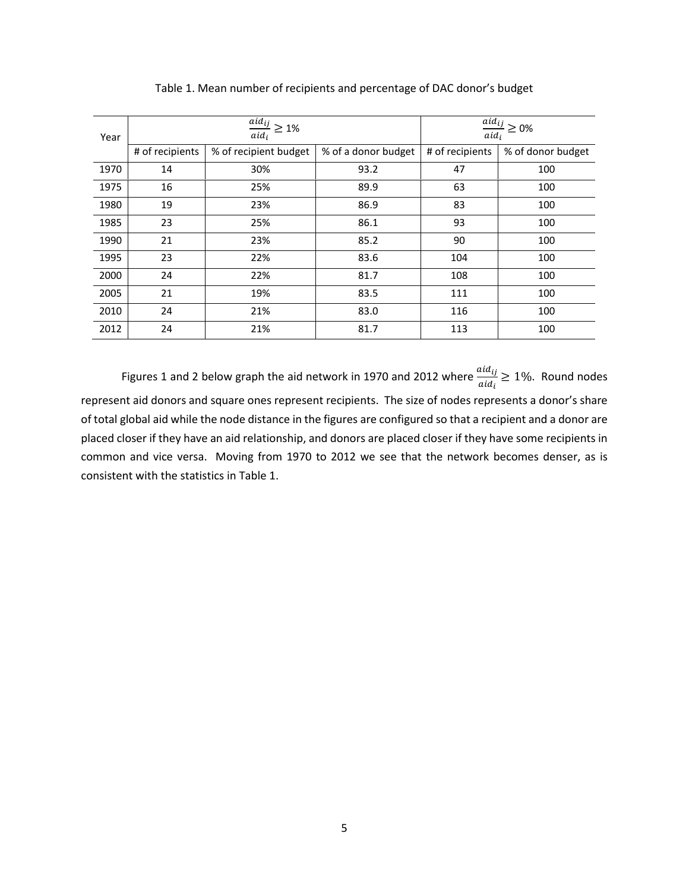| Year |                 | $\frac{aid_{ij}}{aid_{i}} \geq 1\%$ | $\frac{\overline{aid}_{ij}}{\sqrt{3}} \geq 0\%$<br>$aid_i$ |                 |                   |  |
|------|-----------------|-------------------------------------|------------------------------------------------------------|-----------------|-------------------|--|
|      | # of recipients | % of recipient budget               | % of a donor budget                                        | # of recipients | % of donor budget |  |
| 1970 | 14              | 30%                                 | 93.2                                                       | 47              | 100               |  |
| 1975 | 16              | 25%                                 | 89.9                                                       | 63              | 100               |  |
| 1980 | 19              | 23%                                 | 86.9                                                       | 83              | 100               |  |
| 1985 | 23              | 25%                                 | 86.1                                                       | 93              | 100               |  |
| 1990 | 21              | 23%                                 | 85.2                                                       | 90              | 100               |  |
| 1995 | 23              | 22%                                 | 83.6                                                       | 104             | 100               |  |
| 2000 | 24              | 22%                                 | 81.7                                                       | 108             | 100               |  |
| 2005 | 21              | 19%                                 | 83.5                                                       | 111             | 100               |  |
| 2010 | 24              | 21%                                 | 83.0                                                       | 116             | 100               |  |
| 2012 | 24              | 21%                                 | 81.7                                                       | 113             | 100               |  |

Table 1. Mean number of recipients and percentage of DAC donor's budget

Figures 1 and 2 below graph the aid network in 1970 and 2012 where  $\frac{a_{idij}}{a_{id_i}} \ge 1\%$ . Round nodes represent aid donors and square ones represent recipients. The size of nodes represents a donor's share of total global aid while the node distance in the figures are configured so that a recipient and a donor are placed closer if they have an aid relationship, and donors are placed closer if they have some recipients in common and vice versa. Moving from 1970 to 2012 we see that the network becomes denser, as is consistent with the statistics in Table 1.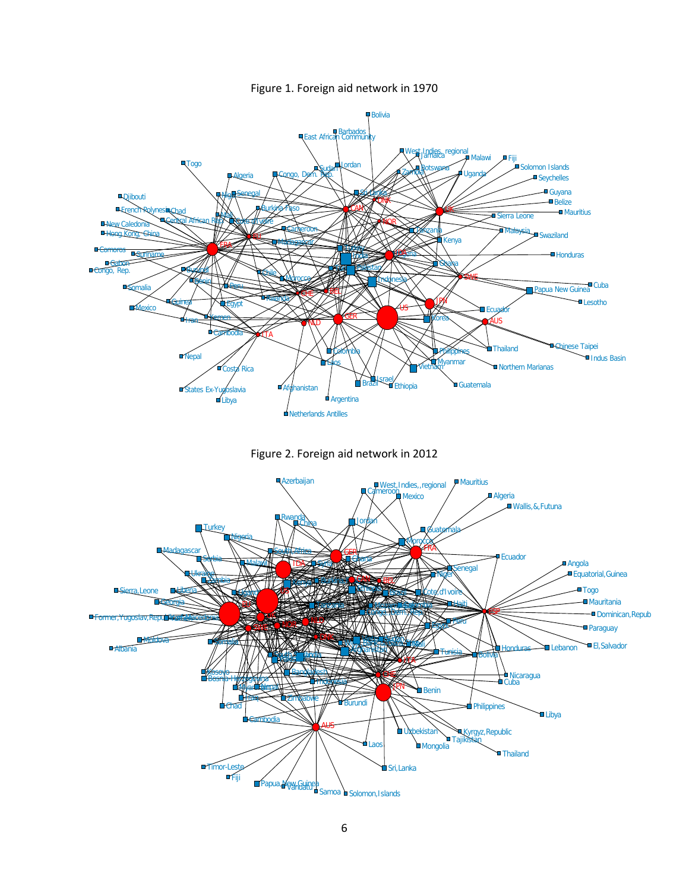

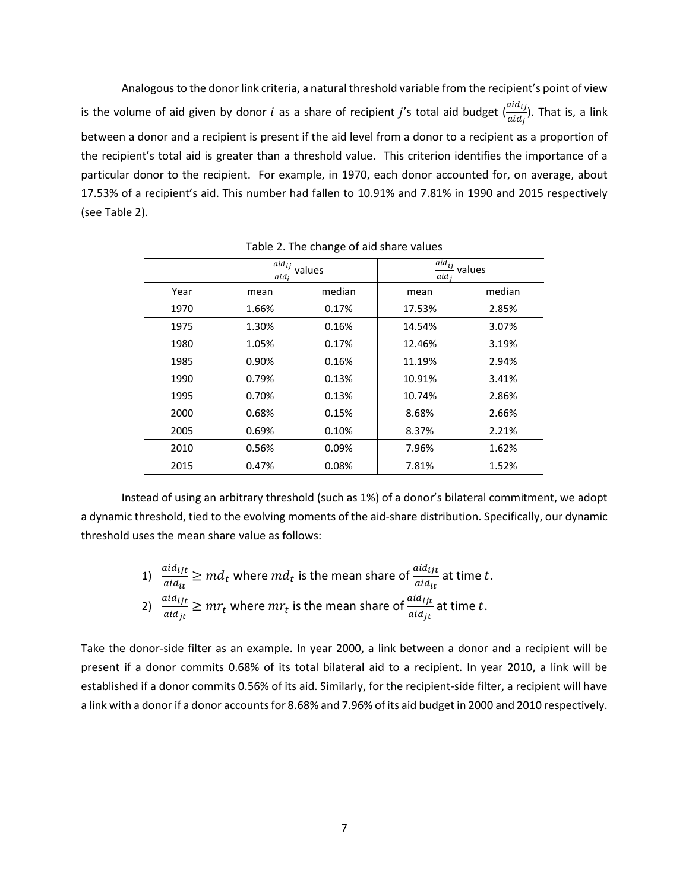Analogous to the donor link criteria, a natural threshold variable from the recipient's point of view is the volume of aid given by donor i as a share of recipient j's total aid budget  $\frac{a u d_{ij}}{a id_j}$ ). That is, a link between a donor and a recipient is present if the aid level from a donor to a recipient as a proportion of the recipient's total aid is greater than a threshold value. This criterion identifies the importance of a particular donor to the recipient. For example, in 1970, each donor accounted for, on average, about 17.53% of a recipient's aid. This number had fallen to 10.91% and 7.81% in 1990 and 2015 respectively (see Table 2).

|      | $\frac{aid_{ij}}{1}$ values<br>$aid_i$ |        | $aid_{ij}$<br>aid; | values |
|------|----------------------------------------|--------|--------------------|--------|
| Year | mean                                   | median | mean               | median |
| 1970 | 1.66%                                  | 0.17%  | 17.53%             | 2.85%  |
| 1975 | 1.30%                                  | 0.16%  | 14.54%             | 3.07%  |
| 1980 | 1.05%                                  | 0.17%  | 12.46%             | 3.19%  |
| 1985 | 0.90%                                  | 0.16%  | 11.19%             | 2.94%  |
| 1990 | 0.79%                                  | 0.13%  | 10.91%             | 3.41%  |
| 1995 | 0.70%                                  | 0.13%  | 10.74%             | 2.86%  |
| 2000 | 0.68%                                  | 0.15%  | 8.68%              | 2.66%  |
| 2005 | 0.69%                                  | 0.10%  | 8.37%              | 2.21%  |
| 2010 | 0.56%                                  | 0.09%  | 7.96%              | 1.62%  |
| 2015 | 0.47%                                  | 0.08%  | 7.81%              | 1.52%  |

Table 2. The change of aid share values

Instead of using an arbitrary threshold (such as 1%) of a donor's bilateral commitment, we adopt a dynamic threshold, tied to the evolving moments of the aid-share distribution. Specifically, our dynamic threshold uses the mean share value as follows:

\n- 1) 
$$
\frac{aid_{ijt}}{aid_{it}} \geq md_t
$$
 where  $md_t$  is the mean share of  $\frac{aid_{ijt}}{aid_{it}}$  at time  $t$ .
\n- 2)  $\frac{aid_{ijt}}{aid_{jt}} \geq mr_t$  where  $mr_t$  is the mean share of  $\frac{aid_{ijt}}{aid_{jt}}$  at time  $t$ .
\n

Take the donor-side filter as an example. In year 2000, a link between a donor and a recipient will be present if a donor commits 0.68% of its total bilateral aid to a recipient. In year 2010, a link will be established if a donor commits 0.56% of its aid. Similarly, for the recipient-side filter, a recipient will have a link with a donor if a donor accounts for 8.68% and 7.96% of its aid budget in 2000 and 2010 respectively.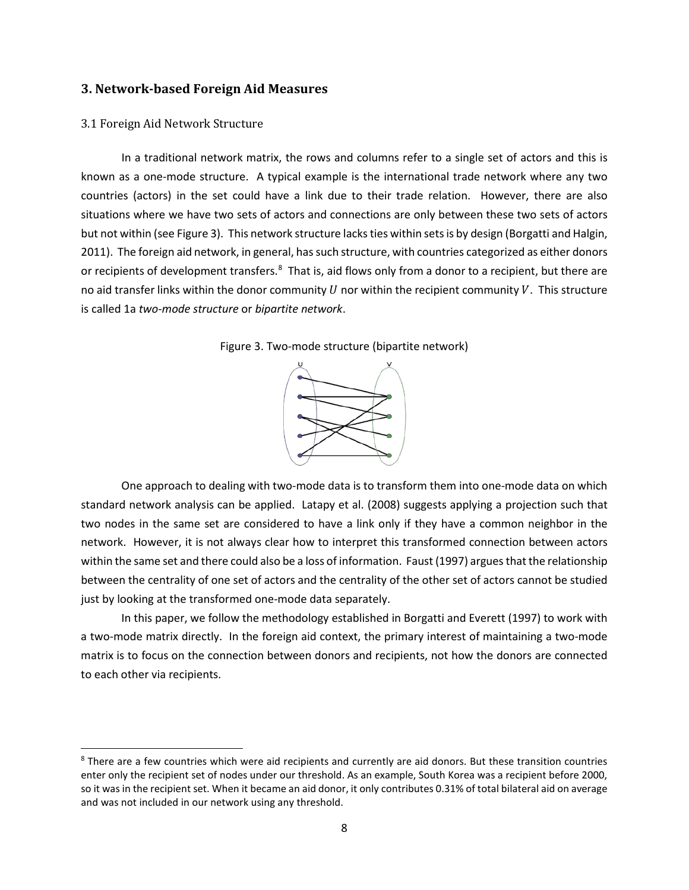## **3. Network-based Foreign Aid Measures**

#### 3.1 Foreign Aid Network Structure

 $\ddot{\phantom{a}}$ 

In a traditional network matrix, the rows and columns refer to a single set of actors and this is known as a one-mode structure. A typical example is the international trade network where any two countries (actors) in the set could have a link due to their trade relation. However, there are also situations where we have two sets of actors and connections are only between these two sets of actors but not within (see Figure 3). This network structure lacks ties within sets is by design (Borgatti and Halgin, 2011). The foreign aid network, in general, has such structure, with countries categorized as either donors or recipients of development transfers.<sup>8</sup> That is, aid flows only from a donor to a recipient, but there are no aid transfer links within the donor community  $U$  nor within the recipient community  $V$ . This structure is called 1a *two-mode structure* or *bipartite network*.





One approach to dealing with two-mode data is to transform them into one-mode data on which standard network analysis can be applied. Latapy et al. (2008) suggests applying a projection such that two nodes in the same set are considered to have a link only if they have a common neighbor in the network. However, it is not always clear how to interpret this transformed connection between actors within the same set and there could also be a loss of information. Faust (1997) argues that the relationship between the centrality of one set of actors and the centrality of the other set of actors cannot be studied just by looking at the transformed one-mode data separately.

In this paper, we follow the methodology established in Borgatti and Everett (1997) to work with a two-mode matrix directly. In the foreign aid context, the primary interest of maintaining a two-mode matrix is to focus on the connection between donors and recipients, not how the donors are connected to each other via recipients.

<span id="page-7-0"></span><sup>&</sup>lt;sup>8</sup> There are a few countries which were aid recipients and currently are aid donors. But these transition countries enter only the recipient set of nodes under our threshold. As an example, South Korea was a recipient before 2000, so it was in the recipient set. When it became an aid donor, it only contributes 0.31% of total bilateral aid on average and was not included in our network using any threshold.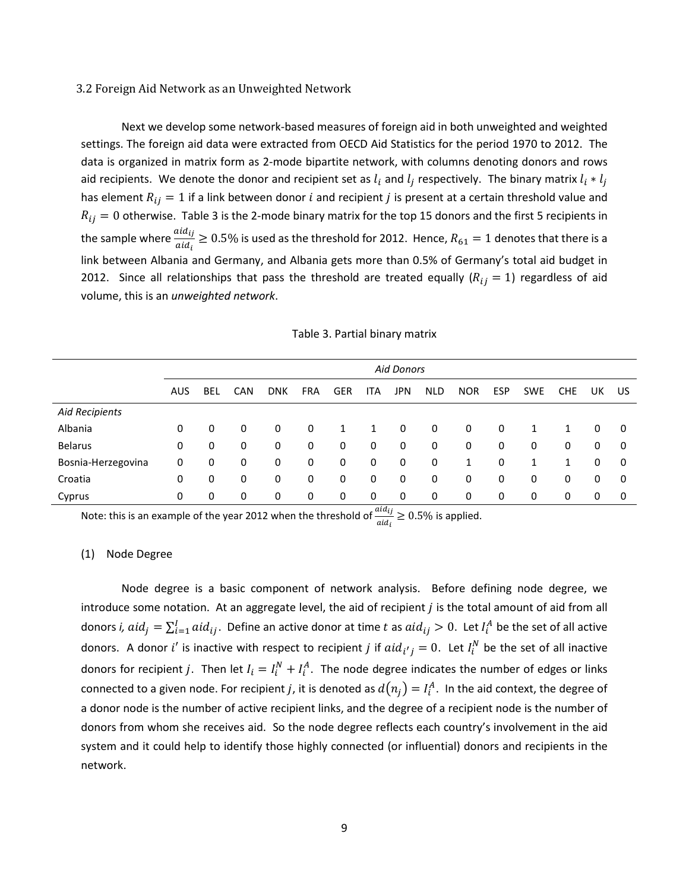#### 3.2 Foreign Aid Network as an Unweighted Network

Next we develop some network-based measures of foreign aid in both unweighted and weighted settings. The foreign aid data were extracted from OECD Aid Statistics for the period 1970 to 2012. The data is organized in matrix form as 2-mode bipartite network, with columns denoting donors and rows aid recipients. We denote the donor and recipient set as  $l_i$  and  $l_j$  respectively. The binary matrix  $l_i * l_j$ has element  $R_{ij} = 1$  if a link between donor *i* and recipient *j* is present at a certain threshold value and  $R_{ij} = 0$  otherwise. Table 3 is the 2-mode binary matrix for the top 15 donors and the first 5 recipients in the sample where  $\frac{aid_{ij}}{sid}$  $\frac{dxd_{ij}}{a_id_i} \geq 0.5\%$  is used as the threshold for 2012. Hence,  $R_{61} = 1$  denotes that there is a link between Albania and Germany, and Albania gets more than 0.5% of Germany's total aid budget in 2012. Since all relationships that pass the threshold are treated equally ( $R_{ii} = 1$ ) regardless of aid volume, this is an *unweighted network*.

|                       |            | <b>Aid Donors</b> |            |            |            |            |            |            |            |            |            |            |              |    |    |
|-----------------------|------------|-------------------|------------|------------|------------|------------|------------|------------|------------|------------|------------|------------|--------------|----|----|
|                       | <b>AUS</b> | <b>BEL</b>        | <b>CAN</b> | <b>DNK</b> | <b>FRA</b> | <b>GER</b> | <b>ITA</b> | <b>JPN</b> | <b>NLD</b> | <b>NOR</b> | <b>ESP</b> | <b>SWE</b> | <b>CHE</b>   | UK | US |
| <b>Aid Recipients</b> |            |                   |            |            |            |            |            |            |            |            |            |            |              |    |    |
| Albania               | 0          | 0                 | 0          | 0          | 0          | 1          | 1          | 0          | 0          | 0          | 0          |            | 1            | 0  | 0  |
| <b>Belarus</b>        | 0          | 0                 | 0          | 0          | 0          | 0          | 0          | 0          | 0          | 0          | 0          | 0          | 0            | 0  | 0  |
| Bosnia-Herzegovina    | 0          | 0                 | 0          | 0          | 0          | 0          | 0          | 0          | 0          | 1          | 0          | 1          | $\mathbf{1}$ | 0  | 0  |
| Croatia               | 0          | 0                 | 0          | 0          | 0          | 0          | 0          | 0          | 0          | 0          | 0          | 0          | 0            | 0  | 0  |
| Cyprus                | 0          | 0                 | 0          | 0          | 0          | 0          | 0          | 0          | 0          | 0          | 0          | 0          | 0            | 0  | 0  |

Table 3. Partial binary matrix

Note: this is an example of the year 2012 when the threshold of  $\frac{a_{i}d_{i}}{a_{i}d_{i}} \geq 0.5\%$  is applied.

#### (1) Node Degree

Node degree is a basic component of network analysis. Before defining node degree, we introduce some notation. At an aggregate level, the aid of recipient  $j$  is the total amount of aid from all donors *i,*  $aid_j = \sum_{i=1}^l aid_{ij}$ *.* Define an active donor at time *t* as  $aid_{ij} > 0$ . Let  $I_i^A$  be the set of all active donors. A donor i' is inactive with respect to recipient j if  $aid_{i'j} = 0$ . Let  $I_i^N$  be the set of all inactive donors for recipient j. Then let  $I_i = I_i^N + I_i^A$ . The node degree indicates the number of edges or links connected to a given node. For recipient j, it is denoted as  $d(n_i) = I_i^A$ . In the aid context, the degree of a donor node is the number of active recipient links, and the degree of a recipient node is the number of donors from whom she receives aid. So the node degree reflects each country's involvement in the aid system and it could help to identify those highly connected (or influential) donors and recipients in the network.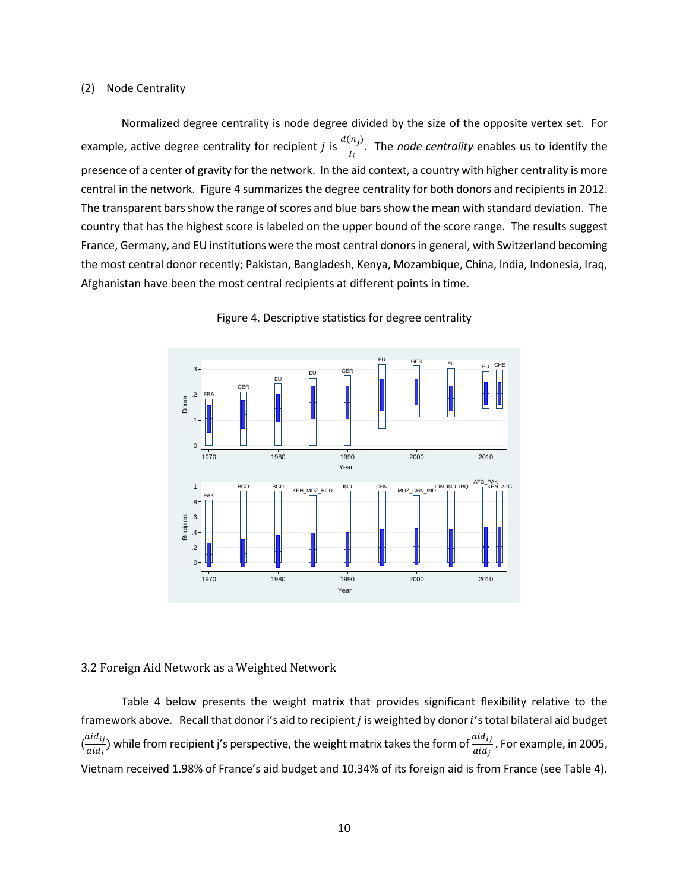#### (2) Node Centrality

Normalized degree centrality is node degree divided by the size of the opposite vertex set. For example, active degree centrality for recipient *j* is  $\frac{d(n_j)}{I_i}$ . The *node centrality* enables us to identify the presence of a center of gravity for the network. In the aid context, a country with higher centrality is more central in the network. Figure 4 summarizes the degree centrality for both donors and recipients in 2012. The transparent bars show the range of scores and blue bars show the mean with standard deviation. The country that has the highest score is labeled on the upper bound of the score range. The results suggest France, Germany, and EU institutions were the most central donors in general, with Switzerland becoming the most central donor recently; Pakistan, Bangladesh, Kenya, Mozambique, China, India, Indonesia, Iraq, Afghanistan have been the most central recipients at different points in time.



Figure 4. Descriptive statistics for degree centrality

## 3.2 Foreign Aid Network as a Weighted Network

Table 4 below presents the weight matrix that provides significant flexibility relative to the framework above. Recall that donor i's aid to recipient  $j$  is weighted by donor i's total bilateral aid budget  $\left(\frac{a_{i,j}}{a_{i,j}}\right)$  $\frac{a_{il}i_j}{a_{il}}$ ) while from recipient j's perspective, the weight matrix takes the form of  $\frac{a_{il}i_j}{a_{il}}$ . For example, in 2005, Vietnam received 1.98% of France's aid budget and 10.34% of its foreign aid is from France (see Table 4).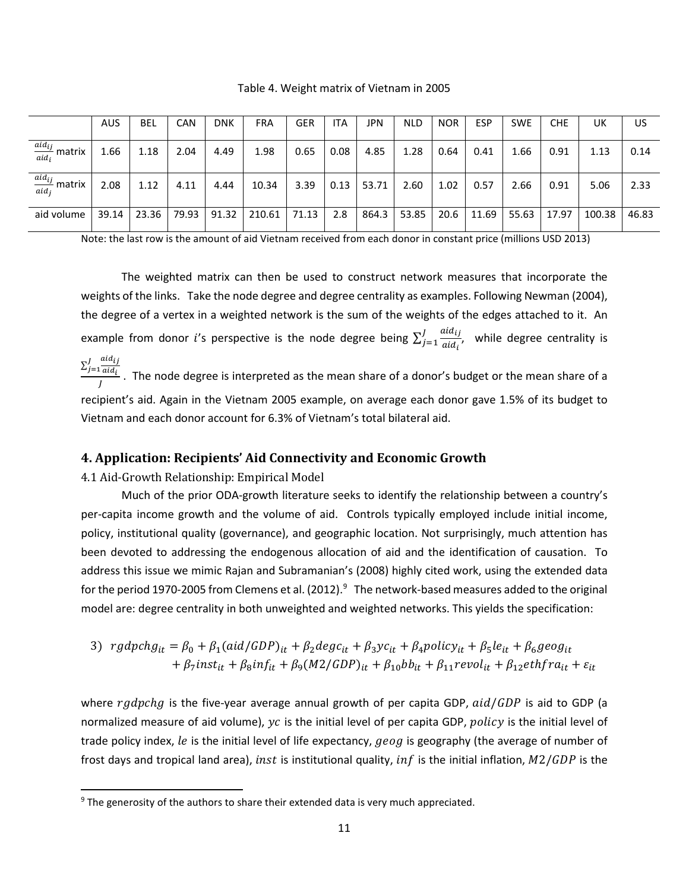|                                   | <b>AUS</b> | <b>BEL</b> | <b>CAN</b> | <b>DNK</b> | <b>FRA</b>     | <b>GER</b> | ITA  | <b>JPN</b>   | <b>NLD</b> | <b>NOR</b> | <b>ESP</b> | <b>SWE</b> | <b>CHE</b> | UK     | US.   |
|-----------------------------------|------------|------------|------------|------------|----------------|------------|------|--------------|------------|------------|------------|------------|------------|--------|-------|
| $\frac{aid_{ij}}{aid_{i}}$ matrix | 1.66       | 1.18       | 2.04       | 4.49       | 1.98           | 0.65       | 0.08 | 4.85         | 1.28       | 0.64       | 0.41       | 1.66       | 0.91       | 1.13   | 0.14  |
| $\frac{aid_{ij}}{aid_{i}}$ matrix | 2.08       | 1.12       | 4.11       | 4.44       | 10.34          | 3.39       |      | $0.13$ 53.71 | 2.60       | 1.02       | 0.57       | 2.66       | 0.91       | 5.06   | 2.33  |
| aid volume                        | 39.14      | 23.36      | 79.93      | 91.32      | $210.61$ 71.13 |            | 2.8  | 864.3        | 53.85      | 20.6       | 11.69      | 55.63      | 17.97      | 100.38 | 46.83 |

Table 4. Weight matrix of Vietnam in 2005

Note: the last row is the amount of aid Vietnam received from each donor in constant price (millions USD 2013)

The weighted matrix can then be used to construct network measures that incorporate the weights of the links. Take the node degree and degree centrality as examples. Following Newman (2004), the degree of a vertex in a weighted network is the sum of the weights of the edges attached to it. An example from donor i's perspective is the node degree being  $\sum_{j=1}^{J}\frac{aud_{ij}}{a id_{i}}$  $\int_{j=1}^{J} \frac{du_{ij}}{a id_j}$ , while degree centrality is  $\Sigma_{j=1}^J \frac{aid_{ij}}{aid_i}$  $\frac{J}{J} = \frac{u_i u_j}{a i d_i}$ . The node degree is interpreted as the mean share of a donor's budget or the mean share of a recipient's aid. Again in the Vietnam 2005 example, on average each donor gave 1.5% of its budget to

## **4. Application: Recipients' Aid Connectivity and Economic Growth**

Vietnam and each donor account for 6.3% of Vietnam's total bilateral aid.

4.1 Aid-Growth Relationship: Empirical Model

 $\overline{a}$ 

Much of the prior ODA-growth literature seeks to identify the relationship between a country's per-capita income growth and the volume of aid. Controls typically employed include initial income, policy, institutional quality (governance), and geographic location. Not surprisingly, much attention has been devoted to addressing the endogenous allocation of aid and the identification of causation. To address this issue we mimic Rajan and Subramanian's (2008) highly cited work, using the extended data for the period 1[9](#page-10-0)70-2005 from Clemens et al. (2012). $^9$  The network-based measures added to the original model are: degree centrality in both unweighted and weighted networks. This yields the specification:

3) 
$$
rgdpchg_{it} = \beta_0 + \beta_1(\text{aid/GDP})_{it} + \beta_2 \text{degc}_{it} + \beta_3 \text{yc}_{it} + \beta_4 \text{policy}_{it} + \beta_5 \text{le}_{it} + \beta_6 \text{geog}_{it} + \beta_7 \text{inst}_{it} + \beta_8 \text{inf}_{it} + \beta_9 (M2/GDP)_{it} + \beta_{10} \text{b}_{it} + \beta_{11} \text{revol}_{it} + \beta_{12} \text{eth} \text{fra}_{it} + \varepsilon_{it}
$$

where  $rgdpchg$  is the five-year average annual growth of per capita GDP,  $aid/GDP$  is aid to GDP (a normalized measure of aid volume),  $yc$  is the initial level of per capita GDP, policy is the initial level of trade policy index, le is the initial level of life expectancy, geog is geography (the average of number of frost days and tropical land area), *inst* is institutional quality, *inf* is the initial inflation,  $M2/GDP$  is the

<span id="page-10-0"></span> $9$  The generosity of the authors to share their extended data is very much appreciated.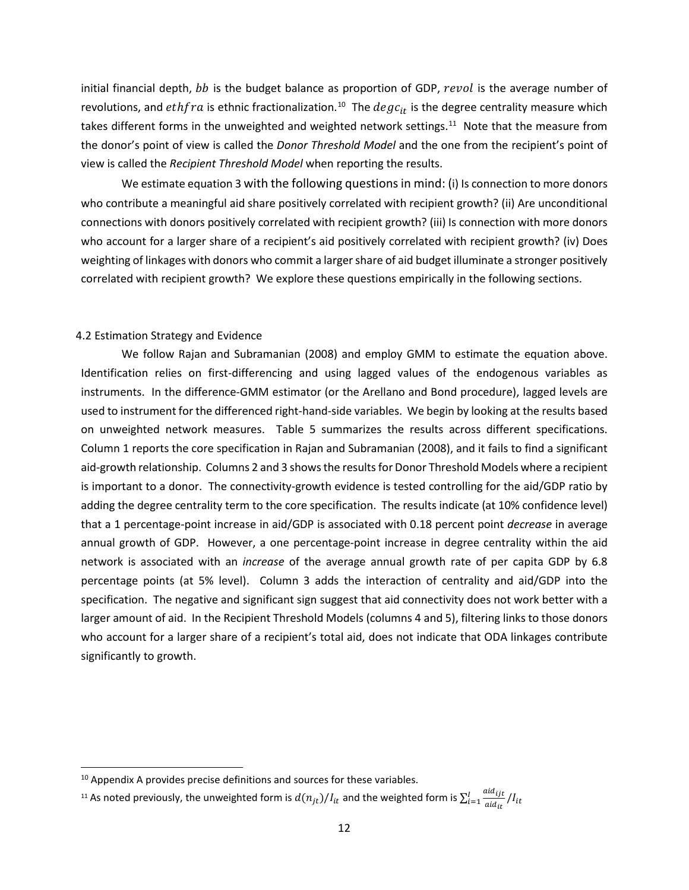initial financial depth,  $bb$  is the budget balance as proportion of GDP,  $revol$  is the average number of revolutions, and eth fra is ethnic fractionalization.<sup>[10](#page-11-0)</sup> The  $\deg c_{it}$  is the degree centrality measure which takes different forms in the unweighted and weighted network settings.<sup>11</sup> Note that the measure from the donor's point of view is called the *Donor Threshold Model* and the one from the recipient's point of view is called the *Recipient Threshold Model* when reporting the results.

We estimate equation 3 with the following questions in mind: (i) Is connection to more donors who contribute a meaningful aid share positively correlated with recipient growth? (ii) Are unconditional connections with donors positively correlated with recipient growth? (iii) Is connection with more donors who account for a larger share of a recipient's aid positively correlated with recipient growth? (iv) Does weighting of linkages with donors who commit a larger share of aid budget illuminate a stronger positively correlated with recipient growth? We explore these questions empirically in the following sections.

## 4.2 Estimation Strategy and Evidence

We follow Rajan and Subramanian (2008) and employ GMM to estimate the equation above. Identification relies on first-differencing and using lagged values of the endogenous variables as instruments. In the difference-GMM estimator (or the Arellano and Bond procedure), lagged levels are used to instrument for the differenced right-hand-side variables. We begin by looking at the results based on unweighted network measures. Table 5 summarizes the results across different specifications. Column 1 reports the core specification in Rajan and Subramanian (2008), and it fails to find a significant aid-growth relationship. Columns 2 and 3 shows the results for Donor Threshold Models where a recipient is important to a donor. The connectivity-growth evidence is tested controlling for the aid/GDP ratio by adding the degree centrality term to the core specification. The results indicate (at 10% confidence level) that a 1 percentage-point increase in aid/GDP is associated with 0.18 percent point *decrease* in average annual growth of GDP. However, a one percentage-point increase in degree centrality within the aid network is associated with an *increase* of the average annual growth rate of per capita GDP by 6.8 percentage points (at 5% level). Column 3 adds the interaction of centrality and aid/GDP into the specification. The negative and significant sign suggest that aid connectivity does not work better with a larger amount of aid. In the Recipient Threshold Models (columns 4 and 5), filtering links to those donors who account for a larger share of a recipient's total aid, does not indicate that ODA linkages contribute significantly to growth.

 $\ddot{\phantom{a}}$ 

<span id="page-11-0"></span> $10$  Appendix A provides precise definitions and sources for these variables.

<span id="page-11-1"></span> $^{11}$  As noted previously, the unweighted form is  $d ( n_{jt} ) / I_{it}$  and the weighted form is  $\Sigma_{t=1}^{I} \frac{a t d_{ij} t}{a t d_{it}}$  $\frac{1}{i=1} \frac{u_i u_{ijt}}{a_i d_{it}}$  / I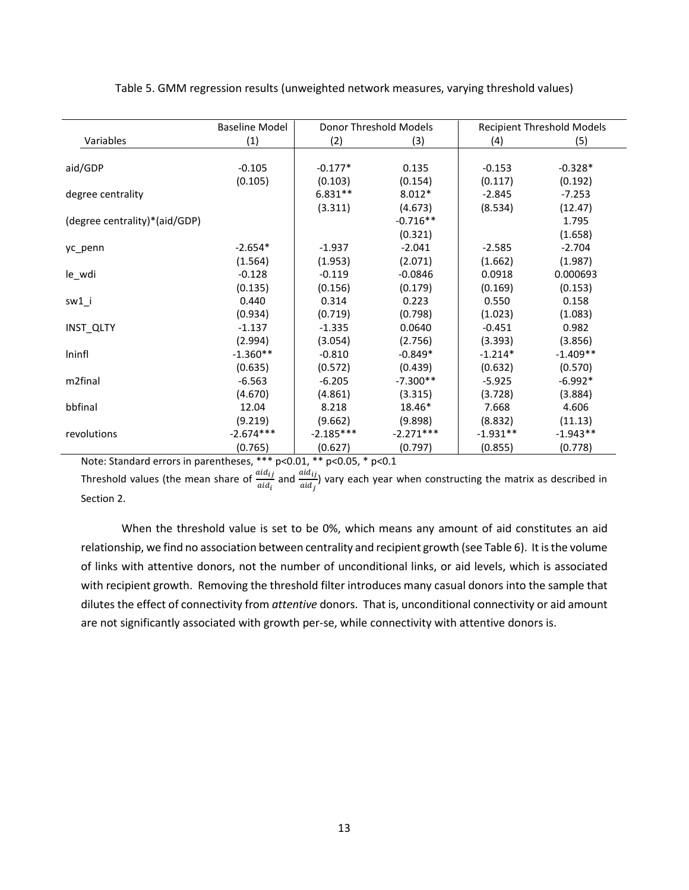|                               | <b>Baseline Model</b> |             | Donor Threshold Models |            | <b>Recipient Threshold Models</b> |
|-------------------------------|-----------------------|-------------|------------------------|------------|-----------------------------------|
| Variables                     | (1)                   | (2)         | (3)                    | (4)        | (5)                               |
|                               |                       |             |                        |            |                                   |
| aid/GDP                       | $-0.105$              | $-0.177*$   | 0.135                  | $-0.153$   | $-0.328*$                         |
|                               | (0.105)               | (0.103)     | (0.154)                | (0.117)    | (0.192)                           |
| degree centrality             |                       | $6.831**$   | $8.012*$               | $-2.845$   | $-7.253$                          |
|                               |                       | (3.311)     | (4.673)                | (8.534)    | (12.47)                           |
| (degree centrality)*(aid/GDP) |                       |             | $-0.716**$             |            | 1.795                             |
|                               |                       |             | (0.321)                |            | (1.658)                           |
| yc penn                       | $-2.654*$             | $-1.937$    | $-2.041$               | $-2.585$   | $-2.704$                          |
|                               | (1.564)               | (1.953)     | (2.071)                | (1.662)    | (1.987)                           |
| le_wdi                        | $-0.128$              | $-0.119$    | $-0.0846$              | 0.0918     | 0.000693                          |
|                               | (0.135)               | (0.156)     | (0.179)                | (0.169)    | (0.153)                           |
| sw1_i                         | 0.440                 | 0.314       | 0.223                  | 0.550      | 0.158                             |
|                               | (0.934)               | (0.719)     | (0.798)                | (1.023)    | (1.083)                           |
| INST_QLTY                     | $-1.137$              | $-1.335$    | 0.0640                 | $-0.451$   | 0.982                             |
|                               | (2.994)               | (3.054)     | (2.756)                | (3.393)    | (3.856)                           |
| Ininfl                        | $-1.360**$            | $-0.810$    | $-0.849*$              | $-1.214*$  | $-1.409**$                        |
|                               | (0.635)               | (0.572)     | (0.439)                | (0.632)    | (0.570)                           |
| m2final                       | $-6.563$              | $-6.205$    | $-7.300**$             | $-5.925$   | $-6.992*$                         |
|                               | (4.670)               | (4.861)     | (3.315)                | (3.728)    | (3.884)                           |
| bbfinal                       | 12.04                 | 8.218       | 18.46*                 | 7.668      | 4.606                             |
|                               | (9.219)               | (9.662)     | (9.898)                | (8.832)    | (11.13)                           |
| revolutions                   | $-2.674***$           | $-2.185***$ | $-2.271***$            | $-1.931**$ | $-1.943**$                        |
|                               | (0.765)               | (0.627)     | (0.797)                | (0.855)    | (0.778)                           |

Table 5. GMM regression results (unweighted network measures, varying threshold values)

Note: Standard errors in parentheses, \*\*\* p<0.01, \*\* p<0.05, \* p<0.1

Threshold values (the mean share of  $\frac{a id_{ij}}{a id_i}$  and  $\frac{a id_{ij}}{a id_j}$ ) vary each year when constructing the matrix as described in Section 2.

When the threshold value is set to be 0%, which means any amount of aid constitutes an aid relationship, we find no association between centrality and recipient growth (see Table 6). It is the volume of links with attentive donors, not the number of unconditional links, or aid levels, which is associated with recipient growth. Removing the threshold filter introduces many casual donors into the sample that dilutes the effect of connectivity from *attentive* donors. That is, unconditional connectivity or aid amount are not significantly associated with growth per-se, while connectivity with attentive donors is.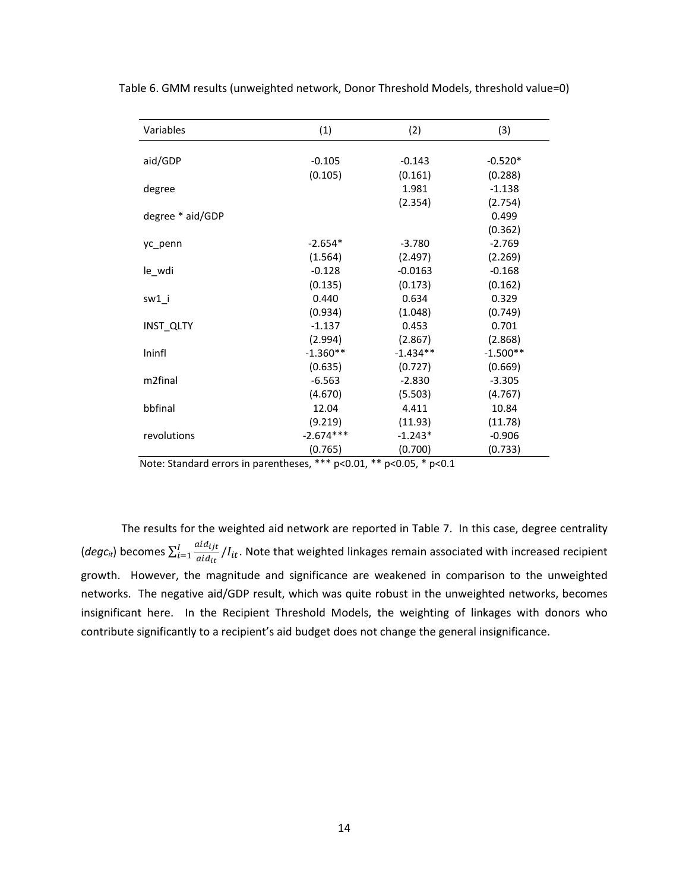| Variables        | (1)         | (2)        | (3)        |
|------------------|-------------|------------|------------|
|                  |             |            |            |
| aid/GDP          | $-0.105$    | $-0.143$   | $-0.520*$  |
|                  | (0.105)     | (0.161)    | (0.288)    |
| degree           |             | 1.981      | $-1.138$   |
|                  |             | (2.354)    | (2.754)    |
| degree * aid/GDP |             |            | 0.499      |
|                  |             |            | (0.362)    |
| yc penn          | $-2.654*$   | $-3.780$   | $-2.769$   |
|                  | (1.564)     | (2.497)    | (2.269)    |
| le_wdi           | $-0.128$    | $-0.0163$  | $-0.168$   |
|                  | (0.135)     | (0.173)    | (0.162)    |
| sw1_i            | 0.440       | 0.634      | 0.329      |
|                  | (0.934)     | (1.048)    | (0.749)    |
| INST_QLTY        | $-1.137$    | 0.453      | 0.701      |
|                  | (2.994)     | (2.867)    | (2.868)    |
| Ininfl           | $-1.360**$  | $-1.434**$ | $-1.500**$ |
|                  | (0.635)     | (0.727)    | (0.669)    |
| m2final          | $-6.563$    | $-2.830$   | $-3.305$   |
|                  | (4.670)     | (5.503)    | (4.767)    |
| bbfinal          | 12.04       | 4.411      | 10.84      |
|                  | (9.219)     | (11.93)    | (11.78)    |
| revolutions      | $-2.674***$ | $-1.243*$  | $-0.906$   |
|                  | (0.765)     | (0.700)    | (0.733)    |

Table 6. GMM results (unweighted network, Donor Threshold Models, threshold value=0)

Note: Standard errors in parentheses, \*\*\* p<0.01, \*\* p<0.05, \* p<0.1

The results for the weighted aid network are reported in Table 7. In this case, degree centrality (*degc<sub>it</sub>*) becomes  $\sum_{i=1}^{I} \frac{a_{i}}{a_{i}}$  $\frac{d}{dt} \frac{d}{dt} \frac{d}{dt}$  / $I_{it}$ . Note that weighted linkages remain associated with increased recipient growth. However, the magnitude and significance are weakened in comparison to the unweighted networks. The negative aid/GDP result, which was quite robust in the unweighted networks, becomes insignificant here. In the Recipient Threshold Models, the weighting of linkages with donors who contribute significantly to a recipient's aid budget does not change the general insignificance.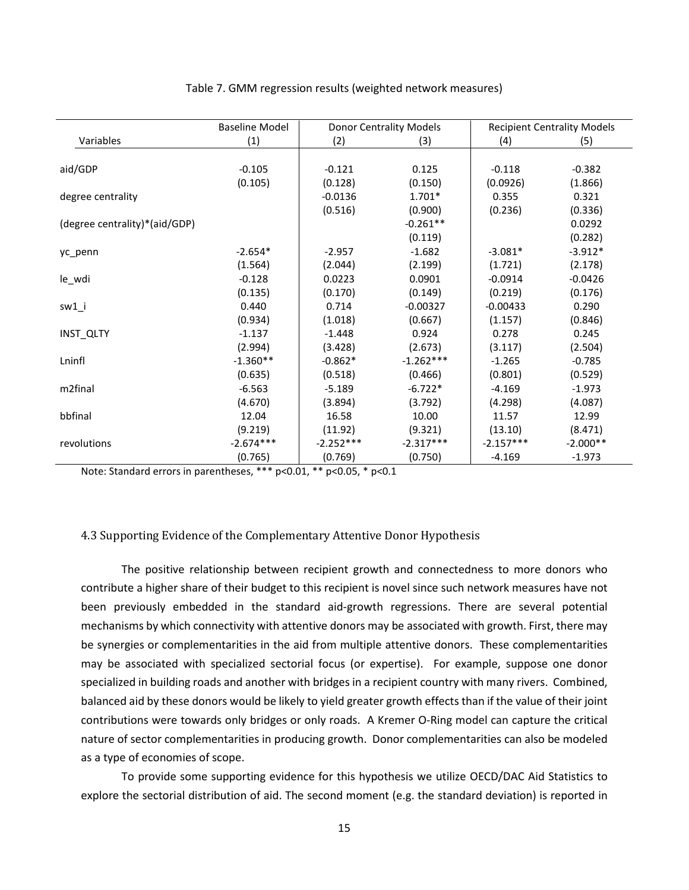|                               | <b>Baseline Model</b> |             | Donor Centrality Models |             | <b>Recipient Centrality Models</b> |
|-------------------------------|-----------------------|-------------|-------------------------|-------------|------------------------------------|
| Variables                     | (1)                   | (2)         | (3)                     | (4)         | (5)                                |
|                               |                       |             |                         |             |                                    |
| aid/GDP                       | $-0.105$              | $-0.121$    | 0.125                   | $-0.118$    | $-0.382$                           |
|                               | (0.105)               | (0.128)     | (0.150)                 | (0.0926)    | (1.866)                            |
| degree centrality             |                       | $-0.0136$   | $1.701*$                | 0.355       | 0.321                              |
|                               |                       | (0.516)     | (0.900)                 | (0.236)     | (0.336)                            |
| (degree centrality)*(aid/GDP) |                       |             | $-0.261**$              |             | 0.0292                             |
|                               |                       |             | (0.119)                 |             | (0.282)                            |
| yc_penn                       | $-2.654*$             | $-2.957$    | $-1.682$                | $-3.081*$   | $-3.912*$                          |
|                               | (1.564)               | (2.044)     | (2.199)                 | (1.721)     | (2.178)                            |
| le_wdi                        | $-0.128$              | 0.0223      | 0.0901                  | $-0.0914$   | $-0.0426$                          |
|                               | (0.135)               | (0.170)     | (0.149)                 | (0.219)     | (0.176)                            |
| $sw1_i$                       | 0.440                 | 0.714       | $-0.00327$              | $-0.00433$  | 0.290                              |
|                               | (0.934)               | (1.018)     | (0.667)                 | (1.157)     | (0.846)                            |
| INST_QLTY                     | $-1.137$              | $-1.448$    | 0.924                   | 0.278       | 0.245                              |
|                               | (2.994)               | (3.428)     | (2.673)                 | (3.117)     | (2.504)                            |
| Lninfl                        | $-1.360**$            | $-0.862*$   | $-1.262***$             | $-1.265$    | $-0.785$                           |
|                               | (0.635)               | (0.518)     | (0.466)                 | (0.801)     | (0.529)                            |
| m2final                       | $-6.563$              | $-5.189$    | $-6.722*$               | $-4.169$    | $-1.973$                           |
|                               | (4.670)               | (3.894)     | (3.792)                 | (4.298)     | (4.087)                            |
| bbfinal                       | 12.04                 | 16.58       | 10.00                   | 11.57       | 12.99                              |
|                               | (9.219)               | (11.92)     | (9.321)                 | (13.10)     | (8.471)                            |
| revolutions                   | $-2.674***$           | $-2.252***$ | $-2.317***$             | $-2.157***$ | $-2.000**$                         |
|                               | (0.765)               | (0.769)     | (0.750)                 | $-4.169$    | $-1.973$                           |

#### Table 7. GMM regression results (weighted network measures)

Note: Standard errors in parentheses, \*\*\* p<0.01, \*\* p<0.05, \* p<0.1

## 4.3 Supporting Evidence of the Complementary Attentive Donor Hypothesis

The positive relationship between recipient growth and connectedness to more donors who contribute a higher share of their budget to this recipient is novel since such network measures have not been previously embedded in the standard aid-growth regressions. There are several potential mechanisms by which connectivity with attentive donors may be associated with growth. First, there may be synergies or complementarities in the aid from multiple attentive donors. These complementarities may be associated with specialized sectorial focus (or expertise). For example, suppose one donor specialized in building roads and another with bridges in a recipient country with many rivers. Combined, balanced aid by these donors would be likely to yield greater growth effects than if the value of their joint contributions were towards only bridges or only roads. A Kremer O-Ring model can capture the critical nature of sector complementarities in producing growth. Donor complementarities can also be modeled as a type of economies of scope.

To provide some supporting evidence for this hypothesis we utilize OECD/DAC Aid Statistics to explore the sectorial distribution of aid. The second moment (e.g. the standard deviation) is reported in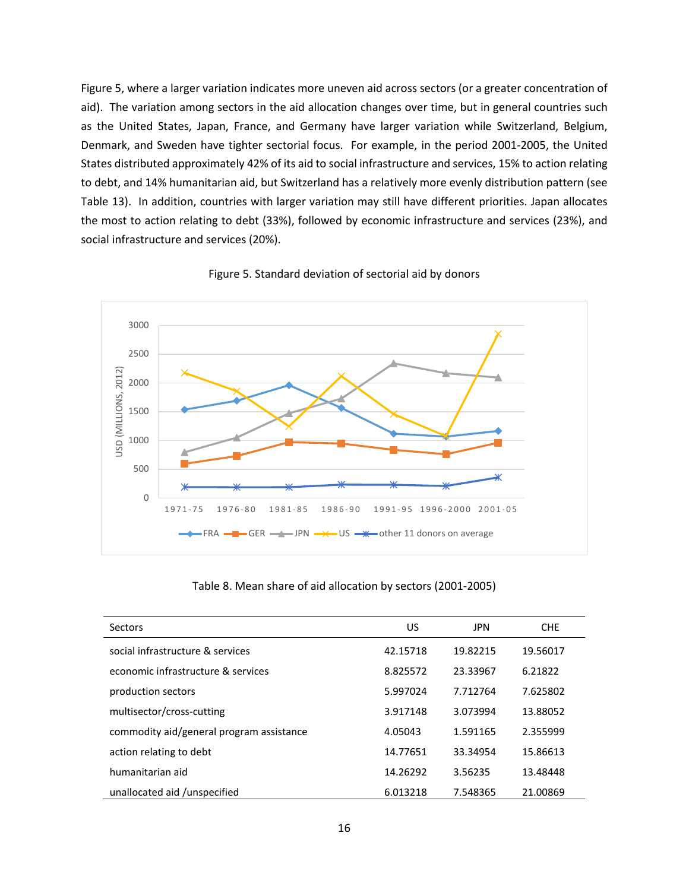Figure 5, where a larger variation indicates more uneven aid across sectors (or a greater concentration of aid). The variation among sectors in the aid allocation changes over time, but in general countries such as the United States, Japan, France, and Germany have larger variation while Switzerland, Belgium, Denmark, and Sweden have tighter sectorial focus. For example, in the period 2001-2005, the United States distributed approximately 42% of its aid to social infrastructure and services, 15% to action relating to debt, and 14% humanitarian aid, but Switzerland has a relatively more evenly distribution pattern (see Table 13). In addition, countries with larger variation may still have different priorities. Japan allocates the most to action relating to debt (33%), followed by economic infrastructure and services (23%), and social infrastructure and services (20%).



Figure 5. Standard deviation of sectorial aid by donors

Table 8. Mean share of aid allocation by sectors (2001-2005)

| Sectors                                  | US       | <b>JPN</b> | <b>CHE</b> |
|------------------------------------------|----------|------------|------------|
| social infrastructure & services         | 42.15718 | 19.82215   | 19.56017   |
| economic infrastructure & services       | 8.825572 | 23.33967   | 6.21822    |
| production sectors                       | 5.997024 | 7.712764   | 7.625802   |
| multisector/cross-cutting                | 3.917148 | 3.073994   | 13.88052   |
| commodity aid/general program assistance | 4.05043  | 1.591165   | 2.355999   |
| action relating to debt                  | 14.77651 | 33.34954   | 15.86613   |
| humanitarian aid                         | 14.26292 | 3.56235    | 13.48448   |
| unallocated aid /unspecified             | 6.013218 | 7.548365   | 21.00869   |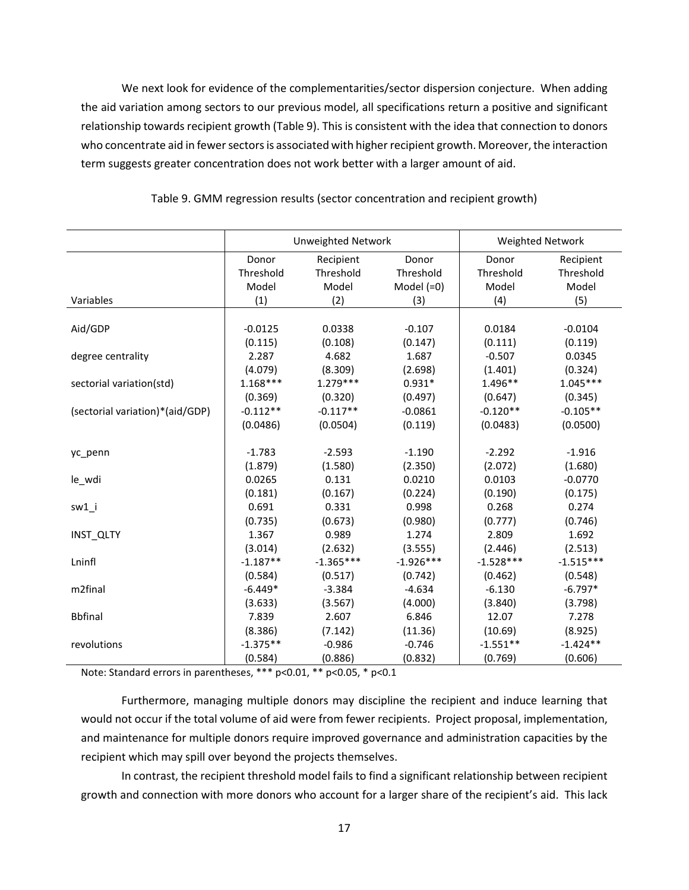We next look for evidence of the complementarities/sector dispersion conjecture. When adding the aid variation among sectors to our previous model, all specifications return a positive and significant relationship towards recipient growth (Table 9). This is consistent with the idea that connection to donors who concentrate aid in fewer sectors is associated with higher recipient growth. Moreover, the interaction term suggests greater concentration does not work better with a larger amount of aid.

|                                 | <b>Unweighted Network</b> |             |              | <b>Weighted Network</b> |             |
|---------------------------------|---------------------------|-------------|--------------|-------------------------|-------------|
|                                 | Donor                     | Recipient   | Donor        | Donor                   | Recipient   |
|                                 | Threshold                 | Threshold   | Threshold    | Threshold               | Threshold   |
|                                 | Model                     | Model       | Model $(=0)$ | Model                   | Model       |
| Variables                       | (1)                       | (2)         | (3)          | (4)                     | (5)         |
|                                 |                           |             |              |                         |             |
| Aid/GDP                         | $-0.0125$                 | 0.0338      | $-0.107$     | 0.0184                  | $-0.0104$   |
|                                 | (0.115)                   | (0.108)     | (0.147)      | (0.111)                 | (0.119)     |
| degree centrality               | 2.287                     | 4.682       | 1.687        | $-0.507$                | 0.0345      |
|                                 | (4.079)                   | (8.309)     | (2.698)      | (1.401)                 | (0.324)     |
| sectorial variation(std)        | $1.168***$                | $1.279***$  | $0.931*$     | 1.496**                 | $1.045***$  |
|                                 | (0.369)                   | (0.320)     | (0.497)      | (0.647)                 | (0.345)     |
| (sectorial variation)*(aid/GDP) | $-0.112**$                | $-0.117**$  | $-0.0861$    | $-0.120**$              | $-0.105**$  |
|                                 | (0.0486)                  | (0.0504)    | (0.119)      | (0.0483)                | (0.0500)    |
|                                 |                           |             |              |                         |             |
| yc penn                         | $-1.783$                  | $-2.593$    | $-1.190$     | $-2.292$                | $-1.916$    |
|                                 | (1.879)                   | (1.580)     | (2.350)      | (2.072)                 | (1.680)     |
| le_wdi                          | 0.0265                    | 0.131       | 0.0210       | 0.0103                  | $-0.0770$   |
|                                 | (0.181)                   | (0.167)     | (0.224)      | (0.190)                 | (0.175)     |
| sw1_i                           | 0.691                     | 0.331       | 0.998        | 0.268                   | 0.274       |
|                                 | (0.735)                   | (0.673)     | (0.980)      | (0.777)                 | (0.746)     |
| INST_QLTY                       | 1.367                     | 0.989       | 1.274        | 2.809                   | 1.692       |
|                                 | (3.014)                   | (2.632)     | (3.555)      | (2.446)                 | (2.513)     |
| Lninfl                          | $-1.187**$                | $-1.365***$ | $-1.926***$  | $-1.528***$             | $-1.515***$ |
|                                 | (0.584)                   | (0.517)     | (0.742)      | (0.462)                 | (0.548)     |
| m2final                         | $-6.449*$                 | $-3.384$    | $-4.634$     | $-6.130$                | $-6.797*$   |
|                                 | (3.633)                   | (3.567)     | (4.000)      | (3.840)                 | (3.798)     |
| <b>Bbfinal</b>                  | 7.839                     | 2.607       | 6.846        | 12.07                   | 7.278       |
|                                 | (8.386)                   | (7.142)     | (11.36)      | (10.69)                 | (8.925)     |
| revolutions                     | $-1.375**$                | $-0.986$    | $-0.746$     | $-1.551**$              | $-1.424**$  |
|                                 | (0.584)                   | (0.886)     | (0.832)      | (0.769)                 | (0.606)     |

Table 9. GMM regression results (sector concentration and recipient growth)

Note: Standard errors in parentheses, \*\*\* p<0.01, \*\* p<0.05, \* p<0.1

Furthermore, managing multiple donors may discipline the recipient and induce learning that would not occur if the total volume of aid were from fewer recipients. Project proposal, implementation, and maintenance for multiple donors require improved governance and administration capacities by the recipient which may spill over beyond the projects themselves.

In contrast, the recipient threshold model fails to find a significant relationship between recipient growth and connection with more donors who account for a larger share of the recipient's aid. This lack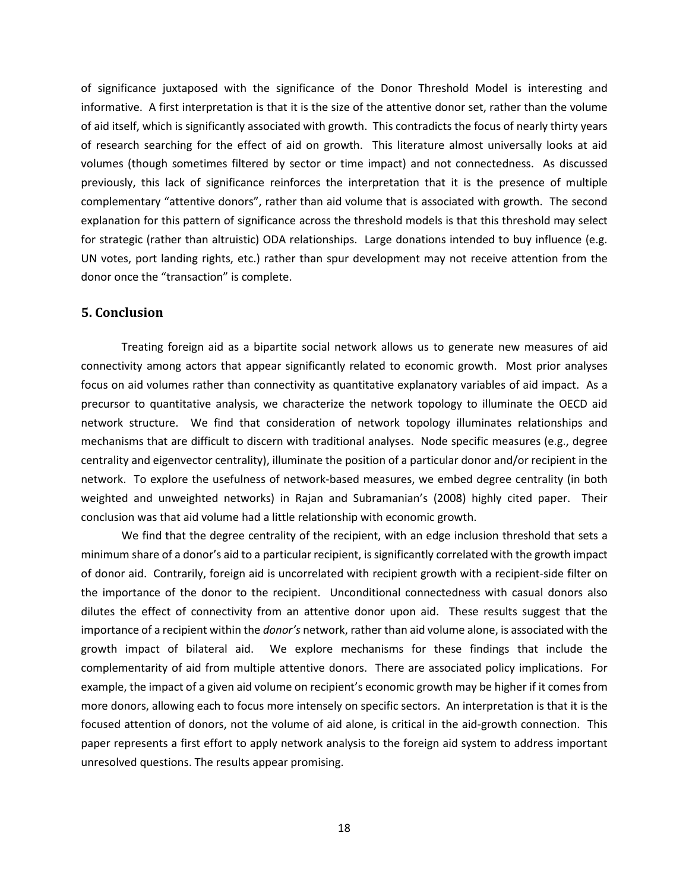of significance juxtaposed with the significance of the Donor Threshold Model is interesting and informative. A first interpretation is that it is the size of the attentive donor set, rather than the volume of aid itself, which is significantly associated with growth. This contradicts the focus of nearly thirty years of research searching for the effect of aid on growth. This literature almost universally looks at aid volumes (though sometimes filtered by sector or time impact) and not connectedness. As discussed previously, this lack of significance reinforces the interpretation that it is the presence of multiple complementary "attentive donors", rather than aid volume that is associated with growth. The second explanation for this pattern of significance across the threshold models is that this threshold may select for strategic (rather than altruistic) ODA relationships. Large donations intended to buy influence (e.g. UN votes, port landing rights, etc.) rather than spur development may not receive attention from the donor once the "transaction" is complete.

## **5. Conclusion**

Treating foreign aid as a bipartite social network allows us to generate new measures of aid connectivity among actors that appear significantly related to economic growth. Most prior analyses focus on aid volumes rather than connectivity as quantitative explanatory variables of aid impact. As a precursor to quantitative analysis, we characterize the network topology to illuminate the OECD aid network structure. We find that consideration of network topology illuminates relationships and mechanisms that are difficult to discern with traditional analyses. Node specific measures (e.g., degree centrality and eigenvector centrality), illuminate the position of a particular donor and/or recipient in the network. To explore the usefulness of network-based measures, we embed degree centrality (in both weighted and unweighted networks) in Rajan and Subramanian's (2008) highly cited paper. Their conclusion was that aid volume had a little relationship with economic growth.

We find that the degree centrality of the recipient, with an edge inclusion threshold that sets a minimum share of a donor's aid to a particular recipient, is significantly correlated with the growth impact of donor aid. Contrarily, foreign aid is uncorrelated with recipient growth with a recipient-side filter on the importance of the donor to the recipient. Unconditional connectedness with casual donors also dilutes the effect of connectivity from an attentive donor upon aid. These results suggest that the importance of a recipient within the *donor's* network, rather than aid volume alone, is associated with the growth impact of bilateral aid. We explore mechanisms for these findings that include the complementarity of aid from multiple attentive donors. There are associated policy implications. For example, the impact of a given aid volume on recipient's economic growth may be higher if it comes from more donors, allowing each to focus more intensely on specific sectors. An interpretation is that it is the focused attention of donors, not the volume of aid alone, is critical in the aid-growth connection. This paper represents a first effort to apply network analysis to the foreign aid system to address important unresolved questions. The results appear promising.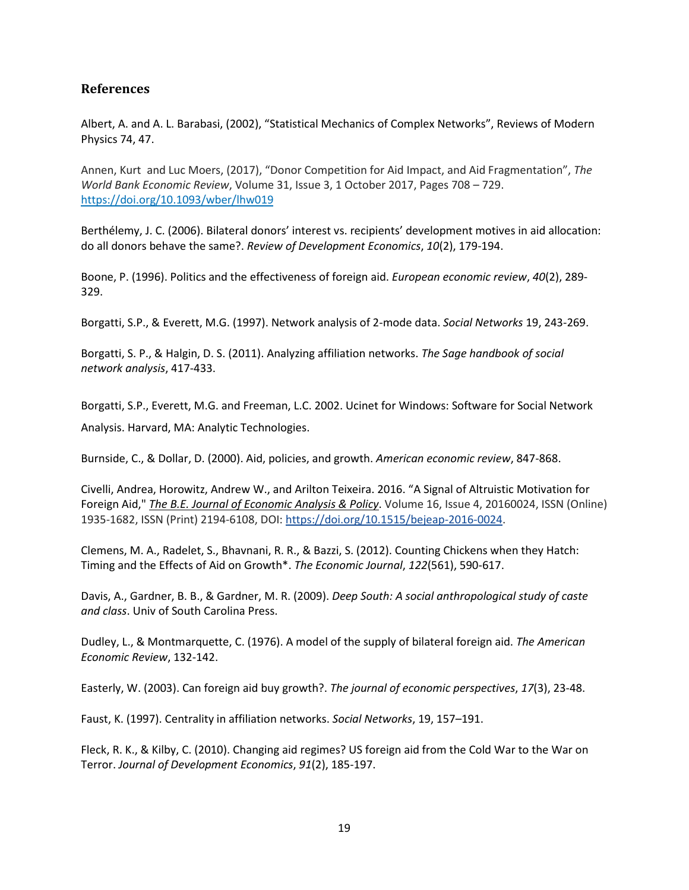# **References**

Albert, A. and A. L. Barabasi, (2002), "Statistical Mechanics of Complex Networks", Reviews of Modern Physics 74, 47.

Annen, Kurt and Luc Moers, (2017), "Donor Competition for Aid Impact, and Aid Fragmentation", *The World Bank Economic Review*, Volume 31, Issue 3, 1 October 2017, Pages 708 – 729. <https://doi.org/10.1093/wber/lhw019>

Berthélemy, J. C. (2006). Bilateral donors' interest vs. recipients' development motives in aid allocation: do all donors behave the same?. *Review of Development Economics*, *10*(2), 179-194.

Boone, P. (1996). Politics and the effectiveness of foreign aid. *European economic review*, *40*(2), 289- 329.

Borgatti, S.P., & Everett, M.G. (1997). Network analysis of 2-mode data. *Social Networks* 19, 243-269.

Borgatti, S. P., & Halgin, D. S. (2011). Analyzing affiliation networks. *The Sage handbook of social network analysis*, 417-433.

Borgatti, S.P., Everett, M.G. and Freeman, L.C. 2002. Ucinet for Windows: Software for Social Network Analysis. Harvard, MA: Analytic Technologies.

Burnside, C., & Dollar, D. (2000). Aid, policies, and growth. *American economic review*, 847-868.

Civelli, Andrea, Horowitz, Andrew W., and Arilton Teixeira. 2016. "A Signal of Altruistic Motivation for Foreign Aid," *The B.E. Journal of Economic Analysis & Policy*. Volume 16, Issue 4, 20160024, ISSN (Online) 1935-1682, ISSN (Print) 2194-6108, DOI: [https://doi.org/10.1515/bejeap-2016-0024.](https://doi.org/10.1515/bejeap-2016-0024)

Clemens, M. A., Radelet, S., Bhavnani, R. R., & Bazzi, S. (2012). Counting Chickens when they Hatch: Timing and the Effects of Aid on Growth\*. *The Economic Journal*, *122*(561), 590-617.

Davis, A., Gardner, B. B., & Gardner, M. R. (2009). *Deep South: A social anthropological study of caste and class*. Univ of South Carolina Press.

Dudley, L., & Montmarquette, C. (1976). A model of the supply of bilateral foreign aid. *The American Economic Review*, 132-142.

Easterly, W. (2003). Can foreign aid buy growth?. *The journal of economic perspectives*, *17*(3), 23-48.

Faust, K. (1997). Centrality in affiliation networks. *Social Networks*, 19, 157–191.

Fleck, R. K., & Kilby, C. (2010). Changing aid regimes? US foreign aid from the Cold War to the War on Terror. *Journal of Development Economics*, *91*(2), 185-197.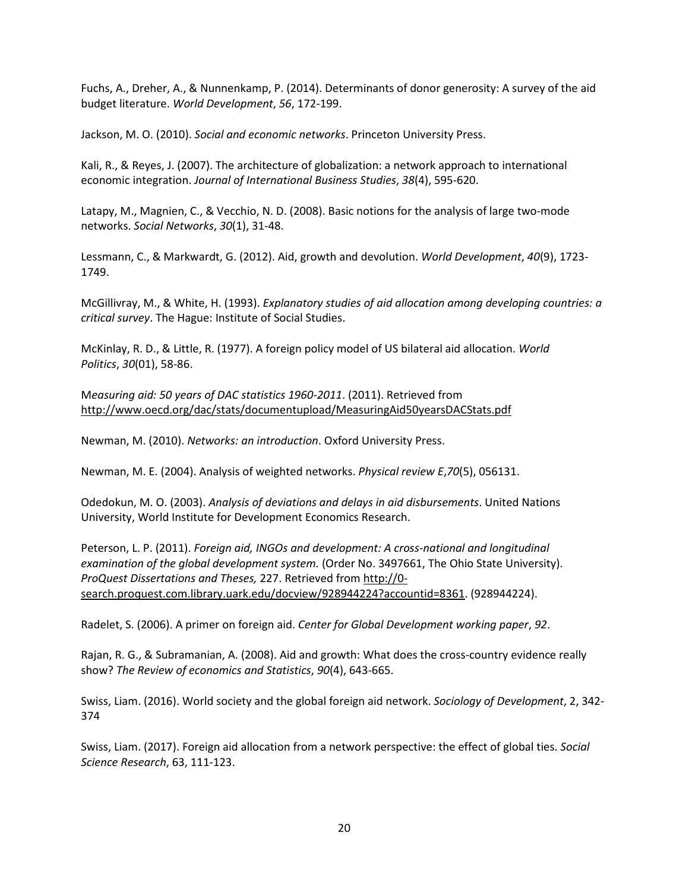Fuchs, A., Dreher, A., & Nunnenkamp, P. (2014). Determinants of donor generosity: A survey of the aid budget literature. *World Development*, *56*, 172-199.

Jackson, M. O. (2010). *Social and economic networks*. Princeton University Press.

Kali, R., & Reyes, J. (2007). The architecture of globalization: a network approach to international economic integration. *Journal of International Business Studies*, *38*(4), 595-620.

Latapy, M., Magnien, C., & Vecchio, N. D. (2008). Basic notions for the analysis of large two-mode networks. *Social Networks*, *30*(1), 31-48.

Lessmann, C., & Markwardt, G. (2012). Aid, growth and devolution. *World Development*, *40*(9), 1723- 1749.

McGillivray, M., & White, H. (1993). *Explanatory studies of aid allocation among developing countries: a critical survey*. The Hague: Institute of Social Studies.

McKinlay, R. D., & Little, R. (1977). A foreign policy model of US bilateral aid allocation. *World Politics*, *30*(01), 58-86.

M*easuring aid: 50 years of DAC statistics 1960-2011*. (2011). Retrieved from <http://www.oecd.org/dac/stats/documentupload/MeasuringAid50yearsDACStats.pdf>

Newman, M. (2010). *Networks: an introduction*. Oxford University Press.

Newman, M. E. (2004). Analysis of weighted networks. *Physical review E*,*70*(5), 056131.

Odedokun, M. O. (2003). *Analysis of deviations and delays in aid disbursements*. United Nations University, World Institute for Development Economics Research.

Peterson, L. P. (2011). *Foreign aid, INGOs and development: A cross-national and longitudinal examination of the global development system.* (Order No. 3497661, The Ohio State University). *ProQuest Dissertations and Theses,* 227. Retrieved from [http://0](http://0-search.proquest.com.library.uark.edu/docview/928944224?accountid=8361) [search.proquest.com.library.uark.edu/docview/928944224?accountid=8361.](http://0-search.proquest.com.library.uark.edu/docview/928944224?accountid=8361) (928944224).

Radelet, S. (2006). A primer on foreign aid. *Center for Global Development working paper*, *92*.

Rajan, R. G., & Subramanian, A. (2008). Aid and growth: What does the cross-country evidence really show? *The Review of economics and Statistics*, *90*(4), 643-665.

Swiss, Liam. (2016). World society and the global foreign aid network. *Sociology of Development*, 2, 342- 374

Swiss, Liam. (2017). Foreign aid allocation from a network perspective: the effect of global ties. *Social Science Research*, 63, 111-123.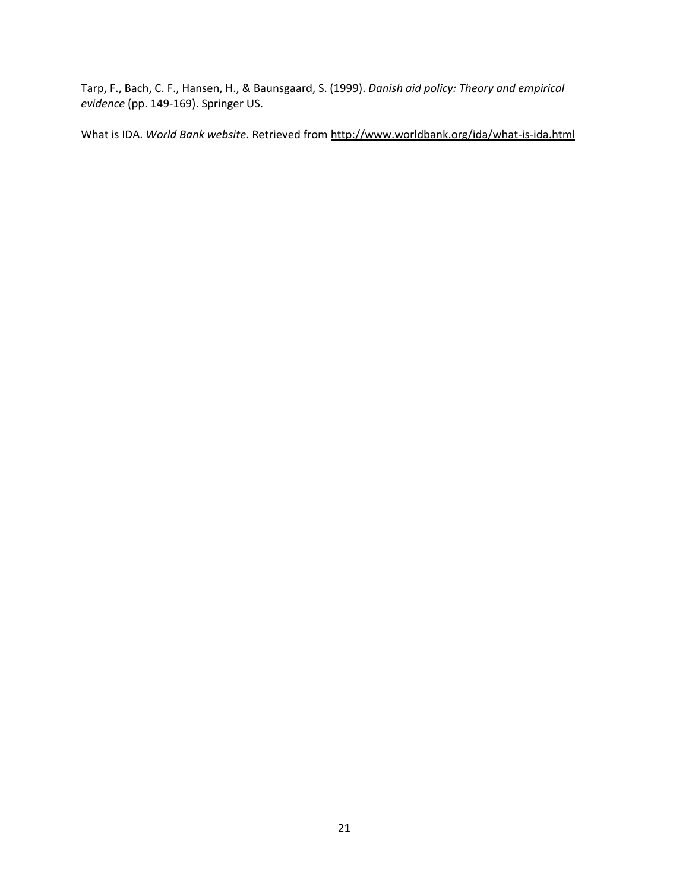Tarp, F., Bach, C. F., Hansen, H., & Baunsgaard, S. (1999). *Danish aid policy: Theory and empirical evidence* (pp. 149-169). Springer US.

What is IDA. *World Bank website*. Retrieved from<http://www.worldbank.org/ida/what-is-ida.html>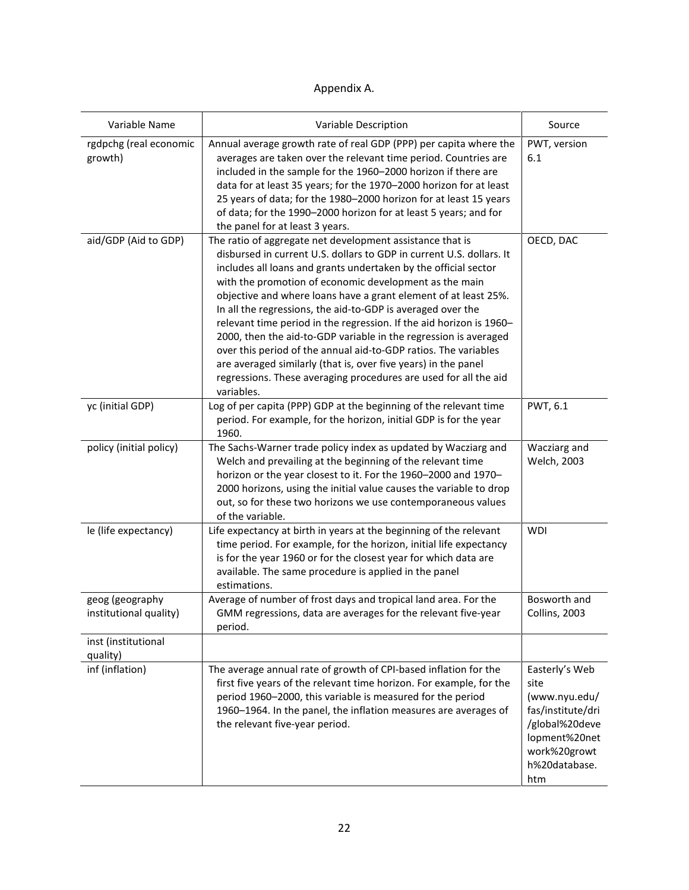# Appendix A.

| Variable Name                             | Variable Description                                                                                                                                                                                                                                                                                                                                                                                                                                                                                                                                                                                                                                                                                                                                               | Source                                                                                                                                  |
|-------------------------------------------|--------------------------------------------------------------------------------------------------------------------------------------------------------------------------------------------------------------------------------------------------------------------------------------------------------------------------------------------------------------------------------------------------------------------------------------------------------------------------------------------------------------------------------------------------------------------------------------------------------------------------------------------------------------------------------------------------------------------------------------------------------------------|-----------------------------------------------------------------------------------------------------------------------------------------|
| rgdpchg (real economic<br>growth)         | Annual average growth rate of real GDP (PPP) per capita where the<br>averages are taken over the relevant time period. Countries are<br>included in the sample for the 1960-2000 horizon if there are<br>data for at least 35 years; for the 1970-2000 horizon for at least<br>25 years of data; for the 1980-2000 horizon for at least 15 years<br>of data; for the 1990-2000 horizon for at least 5 years; and for<br>the panel for at least 3 years.                                                                                                                                                                                                                                                                                                            | PWT, version<br>6.1                                                                                                                     |
| aid/GDP (Aid to GDP)                      | The ratio of aggregate net development assistance that is<br>disbursed in current U.S. dollars to GDP in current U.S. dollars. It<br>includes all loans and grants undertaken by the official sector<br>with the promotion of economic development as the main<br>objective and where loans have a grant element of at least 25%.<br>In all the regressions, the aid-to-GDP is averaged over the<br>relevant time period in the regression. If the aid horizon is 1960-<br>2000, then the aid-to-GDP variable in the regression is averaged<br>over this period of the annual aid-to-GDP ratios. The variables<br>are averaged similarly (that is, over five years) in the panel<br>regressions. These averaging procedures are used for all the aid<br>variables. | OECD, DAC                                                                                                                               |
| yc (initial GDP)                          | Log of per capita (PPP) GDP at the beginning of the relevant time<br>period. For example, for the horizon, initial GDP is for the year<br>1960.                                                                                                                                                                                                                                                                                                                                                                                                                                                                                                                                                                                                                    | PWT, 6.1                                                                                                                                |
| policy (initial policy)                   | The Sachs-Warner trade policy index as updated by Wacziarg and<br>Welch and prevailing at the beginning of the relevant time<br>horizon or the year closest to it. For the 1960-2000 and 1970-<br>2000 horizons, using the initial value causes the variable to drop<br>out, so for these two horizons we use contemporaneous values<br>of the variable.                                                                                                                                                                                                                                                                                                                                                                                                           | Wacziarg and<br>Welch, 2003                                                                                                             |
| le (life expectancy)                      | Life expectancy at birth in years at the beginning of the relevant<br>time period. For example, for the horizon, initial life expectancy<br>is for the year 1960 or for the closest year for which data are<br>available. The same procedure is applied in the panel<br>estimations.                                                                                                                                                                                                                                                                                                                                                                                                                                                                               | <b>WDI</b>                                                                                                                              |
| geog (geography<br>institutional quality) | Average of number of frost days and tropical land area. For the<br>GMM regressions, data are averages for the relevant five-year<br>period.                                                                                                                                                                                                                                                                                                                                                                                                                                                                                                                                                                                                                        | Bosworth and<br>Collins, 2003                                                                                                           |
| inst (institutional<br>quality)           |                                                                                                                                                                                                                                                                                                                                                                                                                                                                                                                                                                                                                                                                                                                                                                    |                                                                                                                                         |
| inf (inflation)                           | The average annual rate of growth of CPI-based inflation for the<br>first five years of the relevant time horizon. For example, for the<br>period 1960-2000, this variable is measured for the period<br>1960-1964. In the panel, the inflation measures are averages of<br>the relevant five-year period.                                                                                                                                                                                                                                                                                                                                                                                                                                                         | Easterly's Web<br>site<br>(www.nyu.edu/<br>fas/institute/dri<br>/global%20deve<br>lopment%20net<br>work%20growt<br>h%20database.<br>htm |